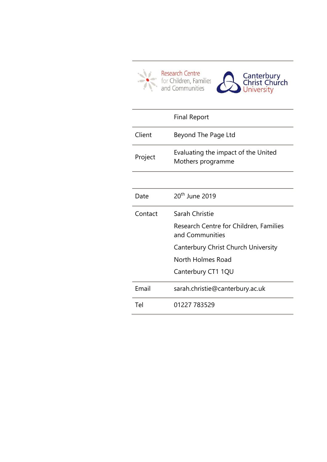

|         | <b>Final Report</b>                                       |
|---------|-----------------------------------------------------------|
| Client  | Beyond The Page Ltd                                       |
| Project | Evaluating the impact of the United<br>Mothers programme  |
|         |                                                           |
| Date    | 20 <sup>th</sup> June 2019                                |
| Contact | Sarah Christie                                            |
|         | Research Centre for Children, Families<br>and Communities |
|         | Canterbury Christ Church University                       |
|         | North Holmes Road                                         |
|         |                                                           |
|         | Canterbury CT1 1QU                                        |
| Email   | sarah.christie@canterbury.ac.uk                           |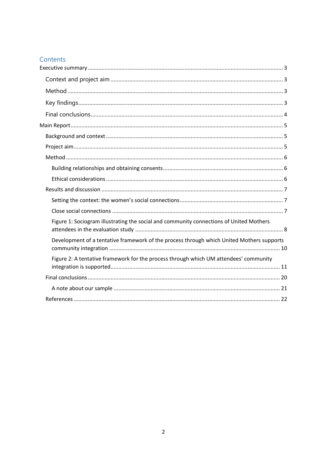# Contents

| Figure 1: Sociogram illustrating the social and community connections of United Mothers   |
|-------------------------------------------------------------------------------------------|
| Development of a tentative framework of the process through which United Mothers supports |
| Figure 2: A tentative framework for the process through which UM attendees' community     |
|                                                                                           |
|                                                                                           |
|                                                                                           |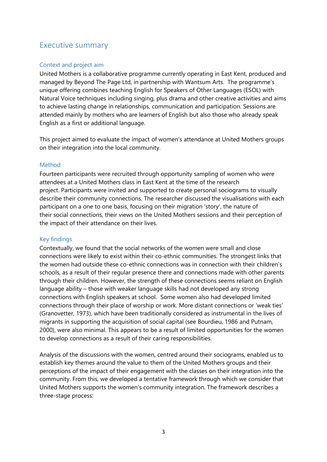# <span id="page-2-0"></span>Executive summary

### <span id="page-2-1"></span>Context and project aim

United Mothers is a collaborative programme currently operating in East Kent, produced and managed by Beyond The Page Ltd, in partnership with Wantsum Arts. The programme's unique offering combines teaching English for Speakers of Other Languages (ESOL) with Natural Voice techniques including singing, plus drama and other creative activities and aims to achieve lasting change in relationships, communication and participation. Sessions are attended mainly by mothers who are learners of English but also those who already speak English as a first or additional language.

This project aimed to evaluate the impact of women's attendance at United Mothers groups on their integration into the local community.

### <span id="page-2-2"></span>Method

Fourteen participants were recruited through opportunity sampling of women who were attendees at a United Mothers class in East Kent at the time of the research project. Participants were invited and supported to create personal sociograms to visually describe their community connections. The researcher discussed the visualisations with each participant on a one to one basis, focusing on their migration 'story', the nature of their social connections, their views on the United Mothers sessions and their perception of the impact of their attendance on their lives.

## <span id="page-2-3"></span>Key findings

Contextually, we found that the social networks of the women were small and close connections were likely to exist within their co-ethnic communities. The strongest links that the women had outside these co-ethnic connections was in connection with their children's schools, as a result of their regular presence there and connections made with other parents through their children. However, the strength of these connections seems reliant on English language ability – those with weaker language skills had not developed any strong connections with English speakers at school. Some women also had developed limited connections through their place of worship or work. More distant connections or 'weak ties' (Granovetter, 1973), which have been traditionally considered as instrumental in the lives of migrants in supporting the acquisition of social capital (see Bourdieu, 1986 and Putnam, 2000), were also minimal. This appears to be a result of limited opportunities for the women to develop connections as a result of their caring responsibilities.

Analysis of the discussions with the women, centred around their sociograms, enabled us to establish key themes around the value to them of the United Mothers groups and their perceptions of the impact of their engagement with the classes on their integration into the community. From this, we developed a tentative framework through which we consider that United Mothers supports the women's community integration. The framework describes a three-stage process: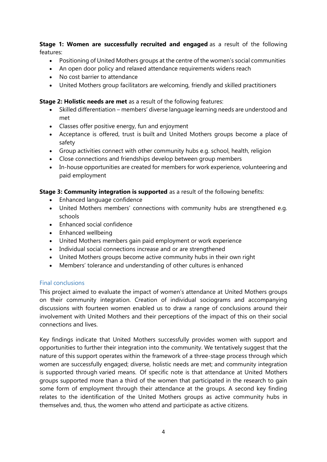**Stage 1: Women are successfully recruited and engaged** as a result of the following features:

- Positioning of United Mothers groups at the centre of the women's social communities
- An open door policy and relaxed attendance requirements widens reach
- No cost barrier to attendance
- United Mothers group facilitators are welcoming, friendly and skilled practitioners

**Stage 2: Holistic needs are met** as a result of the following features:

- Skilled differentiation members' diverse language learning needs are understood and met
- Classes offer positive energy, fun and enjoyment
- Acceptance is offered, trust is built and United Mothers groups become a place of safety
- Group activities connect with other community hubs e.g. school, health, religion
- Close connections and friendships develop between group members
- In-house opportunities are created for members for work experience, volunteering and paid employment

**Stage 3: Community integration is supported** as a result of the following benefits:

- Enhanced language confidence
- United Mothers members' connections with community hubs are strengthened e.g. schools
- Enhanced social confidence
- Enhanced wellbeing
- United Mothers members gain paid employment or work experience
- Individual social connections increase and or are strengthened
- United Mothers groups become active community hubs in their own right
- Members' tolerance and understanding of other cultures is enhanced

### <span id="page-3-0"></span>Final conclusions

This project aimed to evaluate the impact of women's attendance at United Mothers groups on their community integration. Creation of individual sociograms and accompanying discussions with fourteen women enabled us to draw a range of conclusions around their involvement with United Mothers and their perceptions of the impact of this on their social connections and lives.

Key findings indicate that United Mothers successfully provides women with support and opportunities to further their integration into the community. We tentatively suggest that the nature of this support operates within the framework of a three-stage process through which women are successfully engaged; diverse, holistic needs are met; and community integration is supported through varied means. Of specific note is that attendance at United Mothers groups supported more than a third of the women that participated in the research to gain some form of employment through their attendance at the groups. A second key finding relates to the identification of the United Mothers groups as active community hubs in themselves and, thus, the women who attend and participate as active citizens.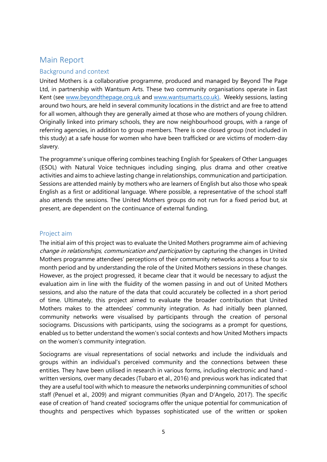# <span id="page-4-0"></span>Main Report

### <span id="page-4-1"></span>Background and context

United Mothers is a collaborative programme, produced and managed by Beyond The Page Ltd, in partnership with Wantsum Arts. These two community organisations operate in East Kent (see [www.beyondthepage.org.uk](http://www.beyondthepage.org.uk/) and [www.wantsumarts.co.uk\)](http://www.wantsumarts.co.uk/). Weekly sessions, lasting around two hours, are held in several community locations in the district and are free to attend for all women, although they are generally aimed at those who are mothers of young children. Originally linked into primary schools, they are now neighbourhood groups, with a range of referring agencies, in addition to group members. There is one closed group (not included in this study) at a safe house for women who have been trafficked or are victims of modern-day slavery.

The programme's unique offering combines teaching English for Speakers of Other Languages (ESOL) with Natural Voice techniques including singing, plus drama and other creative activities and aims to achieve lasting change in relationships, communication and participation. Sessions are attended mainly by mothers who are learners of English but also those who speak English as a first or additional language. Where possible, a representative of the school staff also attends the sessions. The United Mothers groups do not run for a fixed period but, at present, are dependent on the continuance of external funding.

## <span id="page-4-2"></span>Project aim

The initial aim of this project was to evaluate the United Mothers programme aim of achieving change in relationships, communication and participation by capturing the changes in United Mothers programme attendees' perceptions of their community networks across a four to six month period and by understanding the role of the United Mothers sessions in these changes. However, as the project progressed, it became clear that it would be necessary to adjust the evaluation aim in line with the fluidity of the women passing in and out of United Mothers sessions, and also the nature of the data that could accurately be collected in a short period of time. Ultimately, this project aimed to evaluate the broader contribution that United Mothers makes to the attendees' community integration. As had initially been planned, community networks were visualised by participants through the creation of personal sociograms. Discussions with participants, using the sociograms as a prompt for questions, enabled us to better understand the women's social contexts and how United Mothers impacts on the women's community integration.

Sociograms are visual representations of social networks and include the individuals and groups within an individual's perceived community and the connections between these entities. They have been utilised in research in various forms, including electronic and hand written versions, over many decades (Tubaro et al., 2016) and previous work has indicated that they are a useful tool with which to measure the networks underpinning communities of school staff (Penuel et al., 2009) and migrant communities (Ryan and D'Angelo, 2017). The specific ease of creation of 'hand created' sociograms offer the unique potential for communication of thoughts and perspectives which bypasses sophisticated use of the written or spoken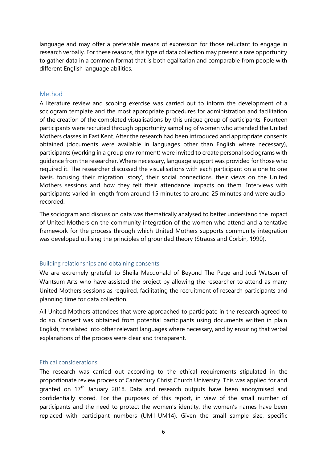language and may offer a preferable means of expression for those reluctant to engage in research verbally. For these reasons, this type of data collection may present a rare opportunity to gather data in a common format that is both egalitarian and comparable from people with different English language abilities.

#### <span id="page-5-0"></span>Method

A literature review and scoping exercise was carried out to inform the development of a sociogram template and the most appropriate procedures for administration and facilitation of the creation of the completed visualisations by this unique group of participants. Fourteen participants were recruited through opportunity sampling of women who attended the United Mothers classes in East Kent. After the research had been introduced and appropriate consents obtained (documents were available in languages other than English where necessary), participants (working in a group environment) were invited to create personal sociograms with guidance from the researcher. Where necessary, language support was provided for those who required it. The researcher discussed the visualisations with each participant on a one to one basis, focusing their migration 'story', their social connections, their views on the United Mothers sessions and how they felt their attendance impacts on them. Interviews with participants varied in length from around 15 minutes to around 25 minutes and were audiorecorded.

The sociogram and discussion data was thematically analysed to better understand the impact of United Mothers on the community integration of the women who attend and a tentative framework for the process through which United Mothers supports community integration was developed utilising the principles of grounded theory (Strauss and Corbin, 1990).

#### <span id="page-5-1"></span>Building relationships and obtaining consents

We are extremely grateful to Sheila Macdonald of Beyond The Page and Jodi Watson of Wantsum Arts who have assisted the project by allowing the researcher to attend as many United Mothers sessions as required, facilitating the recruitment of research participants and planning time for data collection.

All United Mothers attendees that were approached to participate in the research agreed to do so. Consent was obtained from potential participants using documents written in plain English, translated into other relevant languages where necessary, and by ensuring that verbal explanations of the process were clear and transparent.

#### <span id="page-5-2"></span>Ethical considerations

The research was carried out according to the ethical requirements stipulated in the proportionate review process of Canterbury Christ Church University. This was applied for and granted on 17<sup>th</sup> January 2018. Data and research outputs have been anonymised and confidentially stored. For the purposes of this report, in view of the small number of participants and the need to protect the women's identity, the women's names have been replaced with participant numbers (UM1-UM14). Given the small sample size, specific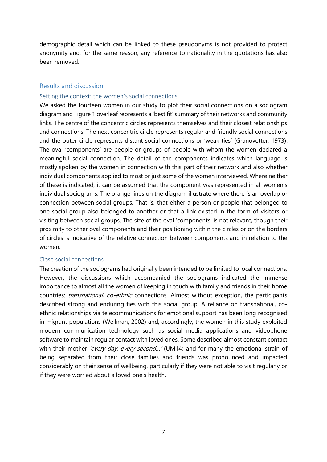demographic detail which can be linked to these pseudonyms is not provided to protect anonymity and, for the same reason, any reference to nationality in the quotations has also been removed.

### <span id="page-6-0"></span>Results and discussion

#### <span id="page-6-1"></span>Setting the context: the women's social connections

We asked the fourteen women in our study to plot their social connections on a sociogram diagram and Figure 1 overleaf represents a 'best fit' summary of their networks and community links. The centre of the concentric circles represents themselves and their closest relationships and connections. The next concentric circle represents regular and friendly social connections and the outer circle represents distant social connections or 'weak ties' (Granovetter, 1973). The oval 'components' are people or groups of people with whom the women declared a meaningful social connection. The detail of the components indicates which language is mostly spoken by the women in connection with this part of their network and also whether individual components applied to most or just some of the women interviewed. Where neither of these is indicated, it can be assumed that the component was represented in all women's individual sociograms. The orange lines on the diagram illustrate where there is an overlap or connection between social groups. That is, that either a person or people that belonged to one social group also belonged to another or that a link existed in the form of visitors or visiting between social groups. The size of the oval 'components' is not relevant, though their proximity to other oval components and their positioning within the circles or on the borders of circles is indicative of the relative connection between components and in relation to the women.

#### <span id="page-6-2"></span>Close social connections

The creation of the sociograms had originally been intended to be limited to local connections. However, the discussions which accompanied the sociograms indicated the immense importance to almost all the women of keeping in touch with family and friends in their home countries: *transnational, co-ethnic* connections. Almost without exception, the participants described strong and enduring ties with this social group. A reliance on transnational, coethnic relationships via telecommunications for emotional support has been long recognised in migrant populations (Wellman, 2002) and, accordingly, the women in this study exploited modern communication technology such as social media applications and videophone software to maintain regular contact with loved ones. Some described almost constant contact with their mother 'every day, every second...' (UM14) and for many the emotional strain of being separated from their close families and friends was pronounced and impacted considerably on their sense of wellbeing, particularly if they were not able to visit regularly or if they were worried about a loved one's health.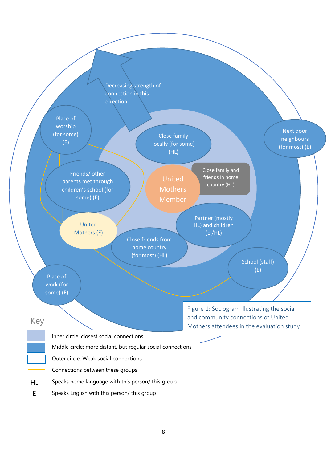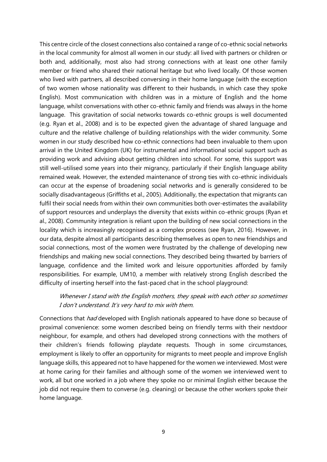This centre circle of the closest connections also contained a range of co-ethnic social networks in the local community for almost all women in our study: all lived with partners or children or both and, additionally, most also had strong connections with at least one other family member or friend who shared their national heritage but who lived locally. Of those women who lived with partners, all described conversing in their home language (with the exception of two women whose nationality was different to their husbands, in which case they spoke English). Most communication with children was in a mixture of English and the home language, whilst conversations with other co-ethnic family and friends was always in the home language. This gravitation of social networks towards co-ethnic groups is well documented (e.g. Ryan et al., 2008) and is to be expected given the advantage of shared language and culture and the relative challenge of building relationships with the wider community. Some women in our study described how co-ethnic connections had been invaluable to them upon arrival in the United Kingdom (UK) for instrumental and informational social support such as providing work and advising about getting children into school. For some, this support was still well-utilised some years into their migrancy, particularly if their English language ability remained weak. However, the extended maintenance of strong ties with co-ethnic individuals can occur at the expense of broadening social networks and is generally considered to be socially disadvantageous (Griffiths et al., 2005). Additionally, the expectation that migrants can fulfil their social needs from within their own communities both over-estimates the availability of support resources and underplays the diversity that exists within co-ethnic groups (Ryan et al., 2008). Community integration is reliant upon the building of new social connections in the locality which is increasingly recognised as a complex process (see Ryan, 2016). However, in our data, despite almost all participants describing themselves as open to new friendships and social connections, most of the women were frustrated by the challenge of developing new friendships and making new social connections. They described being thwarted by barriers of language, confidence and the limited work and leisure opportunities afforded by family responsibilities. For example, UM10, a member with relatively strong English described the difficulty of inserting herself into the fast-paced chat in the school playground:

# Whenever I stand with the English mothers, they speak with each other so sometimes I don't understand. It's very hard to mix with them.

Connections that *had* developed with English nationals appeared to have done so because of proximal convenience: some women described being on friendly terms with their nextdoor neighbour, for example, and others had developed strong connections with the mothers of their children's friends following playdate requests. Though in some circumstances, employment is likely to offer an opportunity for migrants to meet people and improve English language skills, this appeared not to have happened for the women we interviewed. Most were at home caring for their families and although some of the women we interviewed went to work, all but one worked in a job where they spoke no or minimal English either because the job did not require them to converse (e.g. cleaning) or because the other workers spoke their home language.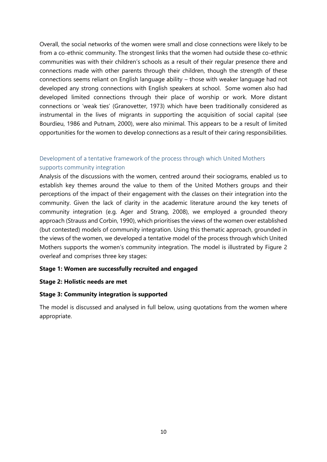Overall, the social networks of the women were small and close connections were likely to be from a co-ethnic community. The strongest links that the women had outside these co-ethnic communities was with their children's schools as a result of their regular presence there and connections made with other parents through their children, though the strength of these connections seems reliant on English language ability – those with weaker language had not developed any strong connections with English speakers at school. Some women also had developed limited connections through their place of worship or work. More distant connections or 'weak ties' (Granovetter, 1973) which have been traditionally considered as instrumental in the lives of migrants in supporting the acquisition of social capital (see Bourdieu, 1986 and Putnam, 2000), were also minimal. This appears to be a result of limited opportunities for the women to develop connections as a result of their caring responsibilities.

# <span id="page-9-0"></span>Development of a tentative framework of the process through which United Mothers supports community integration

Analysis of the discussions with the women, centred around their sociograms, enabled us to establish key themes around the value to them of the United Mothers groups and their perceptions of the impact of their engagement with the classes on their integration into the community. Given the lack of clarity in the academic literature around the key tenets of community integration (e.g. Ager and Strang, 2008), we employed a grounded theory approach (Strauss and Corbin, 1990), which prioritises the views of the women over established (but contested) models of community integration. Using this thematic approach, grounded in the views of the women, we developed a tentative model of the process through which United Mothers supports the women's community integration. The model is illustrated by Figure 2 overleaf and comprises three key stages:

### **Stage 1: Women are successfully recruited and engaged**

### **Stage 2: Holistic needs are met**

### **Stage 3: Community integration is supported**

The model is discussed and analysed in full below, using quotations from the women where appropriate.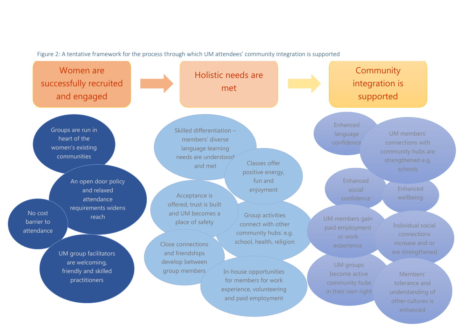Figure 2: A tentative framework for the process through which UM attendees' community integration is supported

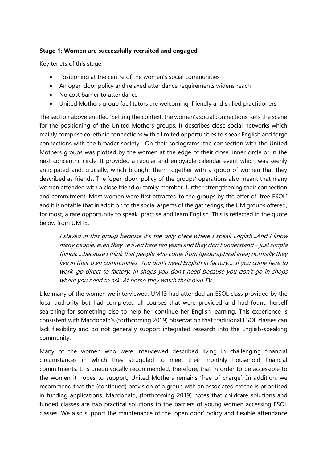## **Stage 1: Women are successfully recruited and engaged**

Key tenets of this stage:

- Positioning at the centre of the women's social communities
- An open door policy and relaxed attendance requirements widens reach
- No cost barrier to attendance
- United Mothers group facilitators are welcoming, friendly and skilled practitioners

The section above entitled 'Setting the context: the women's social connections' sets the scene for the positioning of the United Mothers groups. It describes close social networks which mainly comprise co-ethnic connections with a limited opportunities to speak English and forge connections with the broader society. On their sociograms, the connection with the United Mothers groups was plotted by the women at the edge of their close, inner circle or in the next concentric circle. It provided a regular and enjoyable calendar event which was keenly anticipated and, crucially, which brought them together with a group of women that they described as friends. The 'open door' policy of the groups' operations also meant that many women attended with a close friend or family member, further strengthening their connection and commitment. Most women were first attracted to the groups by the offer of 'free ESOL' and it is notable that in addition to the social aspects of the gatherings, the UM groups offered, for most, a rare opportunity to speak, practise and learn English. This is reflected in the quote below from UM13:

I stayed in this group because it's the only place where I speak English...And I know many people, even they've lived here ten years and they don't understand – just simple things. …because I think that people who come from [geographical area] normally they live in their own communities. You don't need English in factory…. If you come here to work, go direct to factory, in shops you don't need because you don't go in shops where you need to ask. At home they watch their own TV...

Like many of the women we interviewed, UM13 had attended an ESOL class provided by the local authority but had completed all courses that were provided and had found herself searching for something else to help her continue her English learning. This experience is consistent with Macdonald's (forthcoming 2019) observation that traditional ESOL classes can lack flexibility and do not generally support integrated research into the English-speaking community.

Many of the women who were interviewed described living in challenging financial circumstances in which they struggled to meet their monthly household financial commitments. It is unequivocally recommended, therefore, that in order to be accessible to the women it hopes to support, United Mothers remains 'free of charge'. In addition, we recommend that the (continued) provision of a group with an associated creche is prioritised in funding applications. Macdonald, (forthcoming 2019) notes that childcare solutions and funded classes are two practical solutions to the barriers of young women accessing ESOL classes. We also support the maintenance of the 'open door' policy and flexible attendance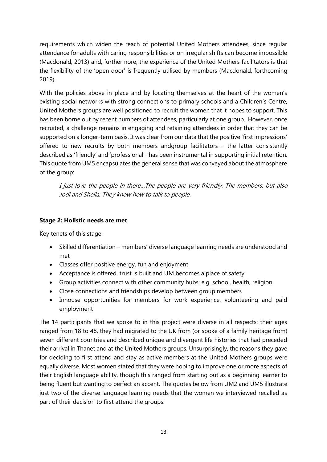requirements which widen the reach of potential United Mothers attendees, since regular attendance for adults with caring responsibilities or on irregular shifts can become impossible (Macdonald, 2013) and, furthermore, the experience of the United Mothers facilitators is that the flexibility of the 'open door' is frequently utilised by members (Macdonald, forthcoming 2019).

With the policies above in place and by locating themselves at the heart of the women's existing social networks with strong connections to primary schools and a Children's Centre, United Mothers groups are well positioned to recruit the women that it hopes to support. This has been borne out by recent numbers of attendees, particularly at one group. However, once recruited, a challenge remains in engaging and retaining attendees in order that they can be supported on a longer-term basis. It was clear from our data that the positive 'first impressions' offered to new recruits by both members andgroup facilitators – the latter consistently described as 'friendly' and 'professional'- has been instrumental in supporting initial retention. This quote from UM5 encapsulates the general sense that was conveyed about the atmosphere of the group:

I just love the people in there…The people are very friendly. The members, but also Jodi and Sheila. They know how to talk to people.

# **Stage 2: Holistic needs are met**

Key tenets of this stage:

- Skilled differentiation members' diverse language learning needs are understood and met
- Classes offer positive energy, fun and enjoyment
- Acceptance is offered, trust is built and UM becomes a place of safety
- Group activities connect with other community hubs: e.g. school, health, religion
- Close connections and friendships develop between group members
- Inhouse opportunities for members for work experience, volunteering and paid employment

The 14 participants that we spoke to in this project were diverse in all respects: their ages ranged from 18 to 48, they had migrated to the UK from (or spoke of a family heritage from) seven different countries and described unique and divergent life histories that had preceded their arrival in Thanet and at the United Mothers groups. Unsurprisingly, the reasons they gave for deciding to first attend and stay as active members at the United Mothers groups were equally diverse. Most women stated that they were hoping to improve one or more aspects of their English language ability, though this ranged from starting out as a beginning learner to being fluent but wanting to perfect an accent. The quotes below from UM2 and UM5 illustrate just two of the diverse language learning needs that the women we interviewed recalled as part of their decision to first attend the groups: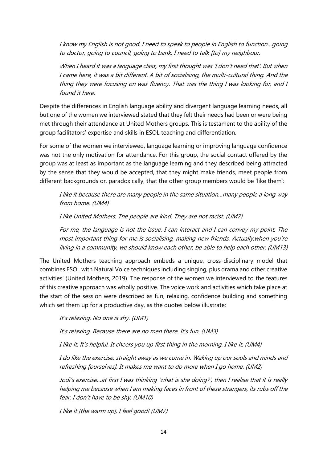I know my English is not good. I need to speak to people in English to function…going to doctor, going to council, going to bank. I need to talk [to] my neighbour.

When I heard it was a language class, my first thought was 'I don't need that'. But when I came here, it was a bit different. A bit of socialising, the multi-cultural thing. And the thing they were focusing on was fluency. That was the thing I was looking for, and I found it here.

Despite the differences in English language ability and divergent language learning needs, all but one of the women we interviewed stated that they felt their needs had been or were being met through their attendance at United Mothers groups. This is testament to the ability of the group facilitators' expertise and skills in ESOL teaching and differentiation.

For some of the women we interviewed, language learning or improving language confidence was not the only motivation for attendance. For this group, the social contact offered by the group was at least as important as the language learning and they described being attracted by the sense that they would be accepted, that they might make friends, meet people from different backgrounds or, paradoxically, that the other group members would be 'like them':

I like it because there are many people in the same situation…many people a long way from home. (UM4)

I like United Mothers. The people are kind. They are not racist. (UM7)

For me, the language is not the issue. I can interact and I can convey my point. The most important thing for me is socialising, making new friends. Actually,when you're living in a community, we should know each other, be able to help each other. (UM13)

The United Mothers teaching approach embeds a unique, cross-disciplinary model that combines ESOL with Natural Voice techniques including singing, plus drama and other creative activities' (United Mothers, 2019). The response of the women we interviewed to the features of this creative approach was wholly positive. The voice work and activities which take place at the start of the session were described as fun, relaxing, confidence building and something which set them up for a productive day, as the quotes below illustrate:

It's relaxing. No one is shy. (UM1)

It's relaxing. Because there are no men there. It's fun. (UM3)

I like it. It's helpful. It cheers you up first thing in the morning. I like it. (UM4)

I do like the exercise, straight away as we come in. Waking up our souls and minds and refreshing [ourselves]. It makes me want to do more when I go home. (UM2)

Jodi's exercise…at first I was thinking 'what is she doing?', then I realise that it is really helping me because when I am making faces in front of these strangers, its rubs off the fear. I don't have to be shy. (UM10)

I like it [the warm up], I feel good! (UM7)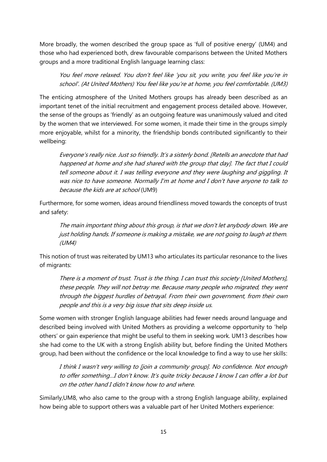More broadly, the women described the group space as 'full of positive energy' (UM4) and those who had experienced both, drew favourable comparisons between the United Mothers groups and a more traditional English language learning class:

You feel more relaxed. You don't feel like 'you sit, you write, you feel like you're in school'. (At United Mothers) You feel like you're at home, you feel comfortable. (UM3)

The enticing atmosphere of the United Mothers groups has already been described as an important tenet of the initial recruitment and engagement process detailed above. However, the sense of the groups as 'friendly' as an outgoing feature was unanimously valued and cited by the women that we interviewed. For some women, it made their time in the groups simply more enjoyable, whilst for a minority, the friendship bonds contributed significantly to their wellbeing:

Everyone's really nice. Just so friendly. It's a sisterly bond. [Retells an anecdote that had happened at home and she had shared with the group that day]. The fact that I could tell someone about it. I was telling everyone and they were laughing and giggling. It was nice to have someone. Normally I'm at home and I don't have anyone to talk to because the kids are at school (UM9)

Furthermore, for some women, ideas around friendliness moved towards the concepts of trust and safety:

The main important thing about this group, is that we don't let anybody down. We are just holding hands. If someone is making a mistake, we are not going to laugh at them. (UM4)

This notion of trust was reiterated by UM13 who articulates its particular resonance to the lives of migrants:

There is a moment of trust. Trust is the thing. I can trust this society [United Mothers], these people. They will not betray me. Because many people who migrated, they went through the biggest hurdles of betrayal. From their own government, from their own people and this is a very big issue that sits deep inside us.

Some women with stronger English language abilities had fewer needs around language and described being involved with United Mothers as providing a welcome opportunity to 'help others' or gain experience that might be useful to them in seeking work. UM13 describes how she had come to the UK with a strong English ability but, before finding the United Mothers group, had been without the confidence or the local knowledge to find a way to use her skills:

I think I wasn't very willing to [join a community group]. No confidence. Not enough to offer something…I don't know. It's quite tricky because I know I can offer a lot but on the other hand I didn't know how to and where.

Similarly,UM8, who also came to the group with a strong English language ability, explained how being able to support others was a valuable part of her United Mothers experience: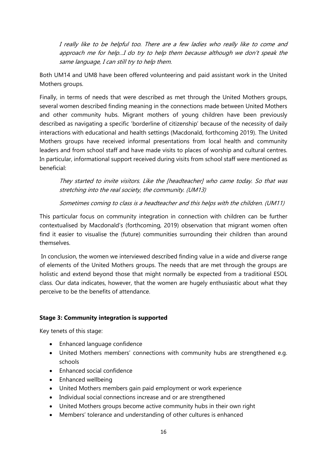I really like to be helpful too. There are a few ladies who really like to come and approach me for help…I do try to help them because although we don't speak the same language, I can still try to help them.

Both UM14 and UM8 have been offered volunteering and paid assistant work in the United Mothers groups.

Finally, in terms of needs that were described as met through the United Mothers groups, several women described finding meaning in the connections made between United Mothers and other community hubs. Migrant mothers of young children have been previously described as navigating a specific 'borderline of citizenship' because of the necessity of daily interactions with educational and health settings (Macdonald, forthcoming 2019). The United Mothers groups have received informal presentations from local health and community leaders and from school staff and have made visits to places of worship and cultural centres. In particular, informational support received during visits from school staff were mentioned as beneficial:

They started to invite visitors. Like the [headteacher] who came today. So that was stretching into the real society, the community. (UM13)

Sometimes coming to class is a headteacher and this helps with the children. (UM11)

This particular focus on community integration in connection with children can be further contextualised by Macdonald's (forthcoming, 2019) observation that migrant women often find it easier to visualise the (future) communities surrounding their children than around themselves.

In conclusion, the women we interviewed described finding value in a wide and diverse range of elements of the United Mothers groups. The needs that are met through the groups are holistic and extend beyond those that might normally be expected from a traditional ESOL class. Our data indicates, however, that the women are hugely enthusiastic about what they perceive to be the benefits of attendance.

# **Stage 3: Community integration is supported**

Key tenets of this stage:

- Enhanced language confidence
- United Mothers members' connections with community hubs are strengthened e.g. schools
- Enhanced social confidence
- Enhanced wellbeing
- United Mothers members gain paid employment or work experience
- Individual social connections increase and or are strengthened
- United Mothers groups become active community hubs in their own right
- Members' tolerance and understanding of other cultures is enhanced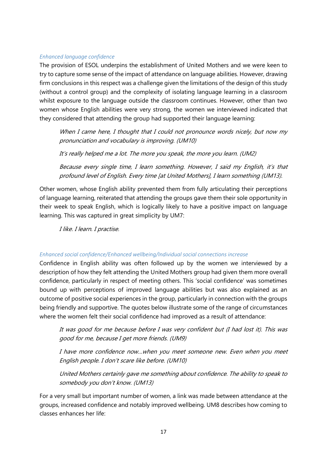### *Enhanced language confidence*

The provision of ESOL underpins the establishment of United Mothers and we were keen to try to capture some sense of the impact of attendance on language abilities. However, drawing firm conclusions in this respect was a challenge given the limitations of the design of this study (without a control group) and the complexity of isolating language learning in a classroom whilst exposure to the language outside the classroom continues. However, other than two women whose English abilities were very strong, the women we interviewed indicated that they considered that attending the group had supported their language learning:

When I came here, I thought that I could not pronounce words nicely, but now my pronunciation and vocabulary is improving. (UM10)

It's really helped me a lot. The more you speak, the more you learn. (UM2)

Because every single time, I learn something. However, I said my English, it's that profound level of English. Every time [at United Mothers], I learn something (UM13).

Other women, whose English ability prevented them from fully articulating their perceptions of language learning, reiterated that attending the groups gave them their sole opportunity in their week to speak English, which is logically likely to have a positive impact on language learning. This was captured in great simplicity by UM7:

I like. I learn. I practise.

## *Enhanced social confidence/Enhanced wellbeing/Individual social connections increase*

Confidence in English ability was often followed up by the women we interviewed by a description of how they felt attending the United Mothers group had given them more overall confidence, particularly in respect of meeting others. This 'social confidence' was sometimes bound up with perceptions of improved language abilities but was also explained as an outcome of positive social experiences in the group, particularly in connection with the groups being friendly and supportive. The quotes below illustrate some of the range of circumstances where the women felt their social confidence had improved as a result of attendance:

It was good for me because before I was very confident but (I had lost it). This was good for me, because I get more friends. (UM9)

I have more confidence now…when you meet someone new. Even when you meet English people. I don't scare like before. (UM10)

United Mothers certainly gave me something about confidence. The ability to speak to somebody you don't know. (UM13)

For a very small but important number of women, a link was made between attendance at the groups, increased confidence and notably improved wellbeing. UM8 describes how coming to classes enhances her life: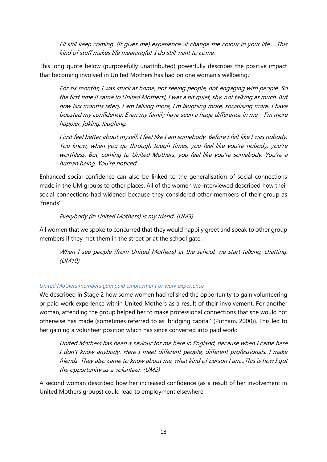I'll still keep coming. (It gives me) experience...it change the colour in your life…..This kind of stuff makes life meaningful. I do still want to come.

This long quote below (purposefully unattributed) powerfully describes the positive impact that becoming involved in United Mothers has had on one woman's wellbeing:

For six months, I was stuck at home, not seeing people, not engaging with people. So the first time [I came to United Mothers], I was a bit quiet, shy, not talking as much. But now [six months later], I am talking more, I'm laughing more, socialising more. I have boosted my confidence. Even my family have seen a huge difference in me – I'm more happier, joking, laughing.

I just feel better about myself. I feel like I am somebody. Before I felt like I was nobody. You know, when you go through tough times, you feel like you're nobody, you're worthless. But, coming to United Mothers, you feel like you're somebody. You're a human being. You're noticed.

Enhanced social confidence can also be linked to the generalisation of social connections made in the UM groups to other places. All of the women we interviewed described how their social connections had widened because they considered other members of their group as 'friends':

# Everybody (in United Mothers) is my friend. (UM3)

All women that we spoke to concurred that they would happily greet and speak to other group members if they met them in the street or at the school gate:

When I see people (from United Mothers) at the school, we start talking, chatting. (UM10)

## *United Mothers members gain paid employment or work experience*

We described in Stage 2 how some women had relished the opportunity to gain volunteering or paid work experience within United Mothers as a result of their involvement. For another woman, attending the group helped her to make professional connections that she would not otherwise has made (sometimes referred to as 'bridging capital' (Putnam, 2000)). This led to her gaining a volunteer position which has since converted into paid work:

United Mothers has been a saviour for me here in England, because when I came here I don't know anybody. Here I meet different people, different professionals. I make friends. They also came to know about me, what kind of person I am…This is how I got the opportunity as a volunteer. (UM2)

A second woman described how her increased confidence (as a result of her involvement in United Mothers groups) could lead to employment elsewhere: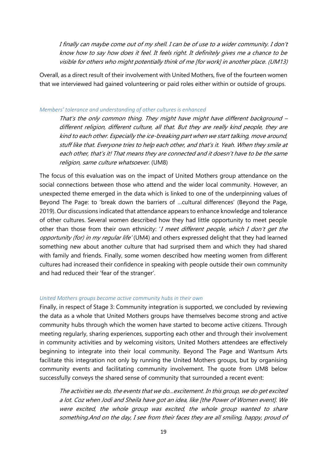I finally can maybe come out of my shell. I can be of use to a wider community. I don't know how to say how does it feel. It feels right. It definitely gives me a chance to be visible for others who might potentially think of me [for work] in another place. (UM13)

Overall, as a direct result of their involvement with United Mothers, five of the fourteen women that we interviewed had gained volunteering or paid roles either within or outside of groups.

#### *Members' tolerance and understanding of other cultures is enhanced*

That's the only common thing. They might have might have different background – different religion, different culture, all that. But they are really kind people, they are kind to each other. Especially the ice-breaking part when we start talking, move around, stuff like that. Everyone tries to help each other, and that's it. Yeah. When they smile at each other, that's it! That means they are connected and it doesn't have to be the same religion, same culture whatsoever. (UM8)

The focus of this evaluation was on the impact of United Mothers group attendance on the social connections between those who attend and the wider local community. However, an unexpected theme emerged in the data which is linked to one of the underpinning values of Beyond The Page: to 'break down the barriers of …cultural differences' (Beyond the Page, 2019). Our discussions indicated that attendance appears to enhance knowledge and tolerance of other cultures. Several women described how they had little opportunity to meet people other than those from their own ethnicity: 'I meet different people, which I don't get the opportunity (for) in my regular life' (UM4) and others expressed delight that they had learned something new about another culture that had surprised them and which they had shared with family and friends. Finally, some women described how meeting women from different cultures had increased their confidence in speaking with people outside their own community and had reduced their 'fear of the stranger'.

### *United Mothers groups become active community hubs in their own*

Finally, in respect of Stage 3: Community integration is supported, we concluded by reviewing the data as a whole that United Mothers groups have themselves become strong and active community hubs through which the women have started to become active citizens. Through meeting regularly, sharing experiences, supporting each other and through their involvement in community activities and by welcoming visitors, United Mothers attendees are effectively beginning to integrate into their local community. Beyond The Page and Wantsum Arts facilitate this integration not only by running the United Mothers groups, but by organising community events and facilitating community involvement. The quote from UM8 below successfully conveys the shared sense of community that surrounded a recent event:

The activities we do, the events that we do…excitement. In this group, we do get excited a lot. Coz when Jodi and Sheila have got an idea, like [the Power of Women event]. We were excited, the whole group was excited, the whole group wanted to share something.And on the day, I see from their faces they are all smiling, happy, proud of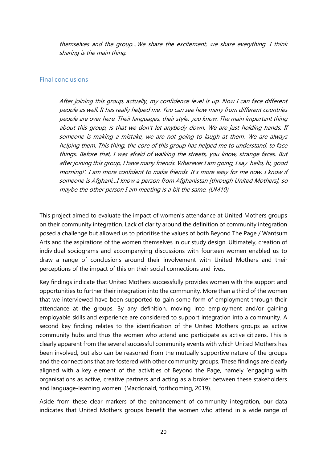themselves and the group…We share the excitement, we share everything. I think sharing is the main thing.

#### <span id="page-19-0"></span>Final conclusions

After joining this group, actually, my confidence level is up. Now I can face different people as well. It has really helped me. You can see how many from different countries people are over here. Their languages, their style, you know. The main important thing about this group, is that we don't let anybody down. We are just holding hands. If someone is making a mistake, we are not going to laugh at them. We are always helping them. This thing, the core of this group has helped me to understand, to face things. Before that, I was afraid of walking the streets, you know, strange faces. But after joining this group, I have many friends. Wherever I am going, I say 'hello, hi, good morning!'. I am more confident to make friends. It's more easy for me now. I know if someone is Afghani…I know a person from Afghanistan [through United Mothers], so maybe the other person I am meeting is a bit the same. (UM10)

This project aimed to evaluate the impact of women's attendance at United Mothers groups on their community integration. Lack of clarity around the definition of community integration posed a challenge but allowed us to prioritise the values of both Beyond The Page / Wantsum Arts and the aspirations of the women themselves in our study design. Ultimately, creation of individual sociograms and accompanying discussions with fourteen women enabled us to draw a range of conclusions around their involvement with United Mothers and their perceptions of the impact of this on their social connections and lives.

Key findings indicate that United Mothers successfully provides women with the support and opportunities to further their integration into the community. More than a third of the women that we interviewed have been supported to gain some form of employment through their attendance at the groups. By any definition, moving into employment and/or gaining employable skills and experience are considered to support integration into a community. A second key finding relates to the identification of the United Mothers groups as active community hubs and thus the women who attend and participate as active citizens. This is clearly apparent from the several successful community events with which United Mothers has been involved, but also can be reasoned from the mutually supportive nature of the groups and the connections that are fostered with other community groups. These findings are clearly aligned with a key element of the activities of Beyond the Page, namely 'engaging with organisations as active, creative partners and acting as a broker between these stakeholders and language-learning women' (Macdonald, forthcoming, 2019).

Aside from these clear markers of the enhancement of community integration, our data indicates that United Mothers groups benefit the women who attend in a wide range of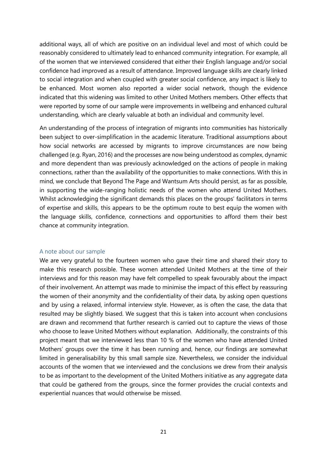additional ways, all of which are positive on an individual level and most of which could be reasonably considered to ultimately lead to enhanced community integration. For example, all of the women that we interviewed considered that either their English language and/or social confidence had improved as a result of attendance. Improved language skills are clearly linked to social integration and when coupled with greater social confidence, any impact is likely to be enhanced. Most women also reported a wider social network, though the evidence indicated that this widening was limited to other United Mothers members. Other effects that were reported by some of our sample were improvements in wellbeing and enhanced cultural understanding, which are clearly valuable at both an individual and community level.

An understanding of the process of integration of migrants into communities has historically been subject to over-simplification in the academic literature. Traditional assumptions about how social networks are accessed by migrants to improve circumstances are now being challenged (e.g. Ryan, 2016) and the processes are now being understood as complex, dynamic and more dependent than was previously acknowledged on the actions of people in making connections, rather than the availability of the opportunities to make connections. With this in mind, we conclude that Beyond The Page and Wantsum Arts should persist, as far as possible, in supporting the wide-ranging holistic needs of the women who attend United Mothers. Whilst acknowledging the significant demands this places on the groups' facilitators in terms of expertise and skills, this appears to be the optimum route to best equip the women with the language skills, confidence, connections and opportunities to afford them their best chance at community integration.

#### <span id="page-20-0"></span>A note about our sample

We are very grateful to the fourteen women who gave their time and shared their story to make this research possible. These women attended United Mothers at the time of their interviews and for this reason may have felt compelled to speak favourably about the impact of their involvement. An attempt was made to minimise the impact of this effect by reassuring the women of their anonymity and the confidentiality of their data, by asking open questions and by using a relaxed, informal interview style. However, as is often the case, the data that resulted may be slightly biased. We suggest that this is taken into account when conclusions are drawn and recommend that further research is carried out to capture the views of those who choose to leave United Mothers without explanation. Additionally, the constraints of this project meant that we interviewed less than 10 % of the women who have attended United Mothers' groups over the time it has been running and, hence, our findings are somewhat limited in generalisability by this small sample size. Nevertheless, we consider the individual accounts of the women that we interviewed and the conclusions we drew from their analysis to be as important to the development of the United Mothers initiative as any aggregate data that could be gathered from the groups, since the former provides the crucial contexts and experiential nuances that would otherwise be missed.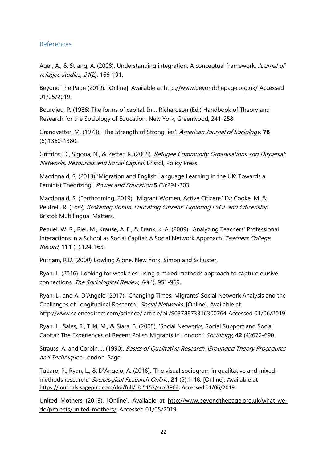## <span id="page-21-0"></span>References

Ager, A., & Strang, A. (2008). Understanding integration: A conceptual framework. Journal of refugee studies, <sup>21</sup>(2), 166-191.

Beyond The Page (2019). [Online]. Available at<http://www.beyondthepage.org.uk/> Accessed 01/05/2019.

Bourdieu, P. (1986) The forms of capital. In J. Richardson (Ed.) Handbook of Theory and Research for the Sociology of Education. New York, Greenwood, 241-258.

Granovetter, M. (1973). 'The Strength of StrongTies'. American Journal of Sociology, **78** (6):1360-1380.

Griffiths, D., Sigona, N., & Zetter, R. (2005). Refugee Community Organisations and Dispersal: Networks, Resources and Social Capital. Bristol, Policy Press.

Macdonald, S. (2013) 'Migration and English Language Learning in the UK: Towards a Feminist Theorizing'. Power and Education **5** (3):291-303.

Macdonald, S. (Forthcoming, 2019). 'Migrant Women, Active Citizens' IN: Cooke, M. & Peutrell, R. (Eds?) Brokering Britain, Educating Citizens: Exploring ESOL and Citizenship. Bristol: Multilingual Matters.

Penuel, W. R., Riel, M., Krause, A. E., & Frank, K. A. (2009). 'Analyzing Teachers' Professional Interactions in a School as Social Capital: A Social Network Approach.' Teachers College Record, **111** (1):124-163.

Putnam, R.D. (2000) Bowling Alone. New York, Simon and Schuster.

Ryan, L. (2016). Looking for weak ties: using a mixed methods approach to capture elusive connections. The Sociological Review, <sup>64</sup>(4), 951-969.

Ryan, L., and A. D'Angelo (2017). 'Changing Times: Migrants' Social Network Analysis and the Challenges of Longitudinal Research.' Social Networks. [Online]. Available at http://www.sciencedirect.com/science/ article/pii/S0378873316300764 Accessed 01/06/2019.

Ryan, L., Sales, R., Tilki, M., & Siara, B. (2008). 'Social Networks, Social Support and Social Capital: The Experiences of Recent Polish Migrants in London.' Sociology, **42** (4):672-690.

Strauss, A. and Corbin, J. (1990). Basics of Qualitative Research: Grounded Theory Procedures and Techniques. London, Sage.

Tubaro, P., Ryan, L., & D'Angelo, A. (2016). 'The visual sociogram in qualitative and mixedmethods research.' Sociological Research Online, **21** (2):1-18. [Online]. Available at [https://journals.sagepub.com/doi/full/10.5153/sro.3864.](https://journals.sagepub.com/doi/full/10.5153/sro.3864) Accessed 01/06/2019.

United Mothers (2019). [Online]. Available at [http://www.beyondthepage.org.uk/what-we](http://www.beyondthepage.org.uk/what-we-do/projects/united-mothers/)[do/projects/united-mothers/.](http://www.beyondthepage.org.uk/what-we-do/projects/united-mothers/) Accessed 01/05/2019.